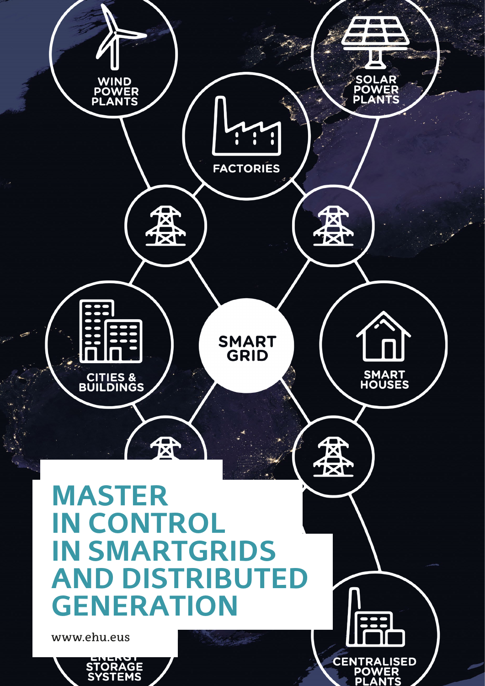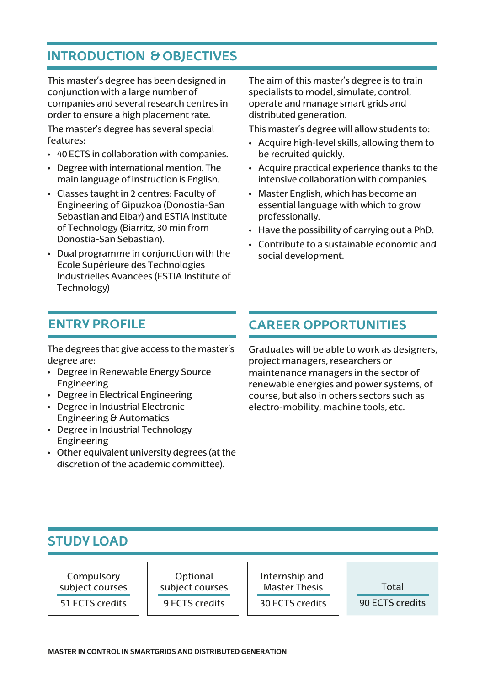## **INTRODUCTION & OBJECTIVES**

This master's degree has been designed in conjunction with a large number of companies and several research centres in order to ensure a high placement rate. The master's degree has several special features:

- 40 ECTS in collaboration with companies.
- Degree with international mention. The main language of instruction is English.
- Classes taught in 2 centres: Faculty of Engineering of Gipuzkoa (Donostia-San Sebastian and Eibar) and ESTIA Institute of Technology (Biarritz, 30 min from Donostia-San Sebastian).
- Dual programme in conjunction with the Ecole Supérieure des Technologies Industrielles Avancées (ESTIA Institute of Technology)

The aim of this master's degree is to train specialists to model, simulate, control, operate and manage smart grids and distributed generation.

This master's degree will allow students to:

- Acquire high-level skills, allowing them to be recruited quickly.
- Acquire practical experience thanks to the intensive collaboration with companies.
- Master English, which has become an essential language with which to grow professionally.
- Have the possibility of carrying out a PhD.
- Contribute to a sustainable economic and social development.

The degrees that give access to the master's degree are:

- Degree in Renewable Energy Source Engineering
- Degree in Electrical Engineering
- Degree in Industrial Electronic Engineering & Automatics
- Degree in Industrial Technology Engineering
- Other equivalent university degrees (at the discretion of the academic committee).

## **ENTRY PROFILE CAREER OPPORTUNITIES**

Graduates will be able to work as designers, project managers, researchers or maintenance managers in the sector of renewable energies and power systems, of course, but also in others sectors such as electro-mobility, machine tools, etc.

#### **STUDY LOAD**

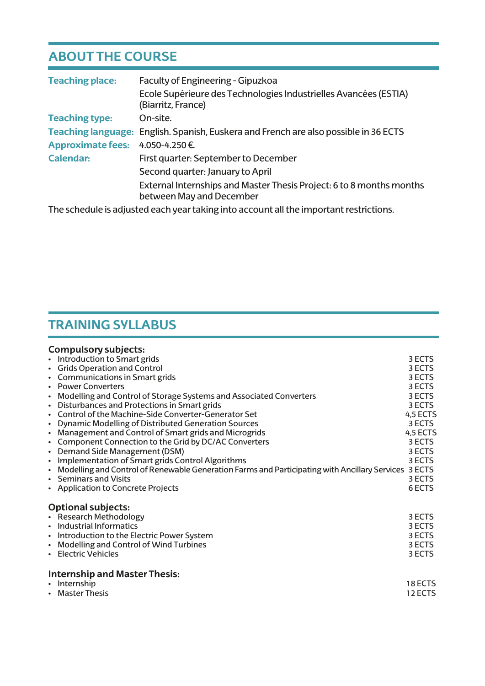# **ABOUT THE COURSE**

| <b>Teaching place:</b>   | Faculty of Engineering - Gipuzkoa<br>Ecole Supérieure des Technologies Industrielles Avancées (ESTIA)<br>(Biarritz, France) |
|--------------------------|-----------------------------------------------------------------------------------------------------------------------------|
| <b>Teaching type:</b>    | On-site.                                                                                                                    |
|                          | Teaching language: English. Spanish, Euskera and French are also possible in 36 ECTS                                        |
| <b>Approximate fees:</b> | 4.050-4.250€.                                                                                                               |
| Calendar:                | First quarter: September to December                                                                                        |
|                          | Second quarter: January to April                                                                                            |
|                          | External Internships and Master Thesis Project: 6 to 8 months months<br>between May and December                            |

The schedule is adjusted each year taking into account all the important restrictions.

# **TRAINING SYLLABUS**

|                 | Compulsory subjects:                                                                          |          |
|-----------------|-----------------------------------------------------------------------------------------------|----------|
|                 | • Introduction to Smart grids                                                                 | 3 ECTS   |
|                 | • Grids Operation and Control                                                                 | 3 ECTS   |
|                 | • Communications in Smart grids                                                               | 3 ECTS   |
|                 | • Power Converters                                                                            | 3 ECTS   |
| $\bullet$       | Modelling and Control of Storage Systems and Associated Converters                            | 3 ECTS   |
|                 | • Disturbances and Protections in Smart grids                                                 | 3 ECTS   |
|                 | Control of the Machine-Side Converter-Generator Set                                           | 4,5 ECTS |
| ٠               | Dynamic Modelling of Distributed Generation Sources                                           | 3 ECTS   |
| ٠               | Management and Control of Smart grids and Microgrids                                          | 4,5 ECTS |
|                 | Component Connection to the Grid by DC/AC Converters                                          | 3 ECTS   |
| ٠               | Demand Side Management (DSM)                                                                  | 3 ECTS   |
| ٠               | Implementation of Smart grids Control Algorithms                                              | 3 ECTS   |
| $\bullet$       | Modelling and Control of Renewable Generation Farms and Participating with Ancillary Services | 3 ECTS   |
|                 | • Seminars and Visits                                                                         | 3 ECTS   |
|                 | • Application to Concrete Projects                                                            | 6 ECTS   |
|                 | <b>Optional subjects:</b>                                                                     |          |
|                 | • Research Methodology                                                                        | 3 ECTS   |
|                 | • Industrial Informatics                                                                      | 3 ECTS   |
|                 | • Introduction to the Electric Power System                                                   | 3 ECTS   |
| ٠               | Modelling and Control of Wind Turbines                                                        | 3 ECTS   |
|                 | • Electric Vehicles                                                                           | 3 ECTS   |
|                 | Internship and Master Thesis:                                                                 |          |
| • Internship    |                                                                                               | 18 ECTS  |
| • Master Thesis |                                                                                               | 12 ECTS  |
|                 |                                                                                               |          |